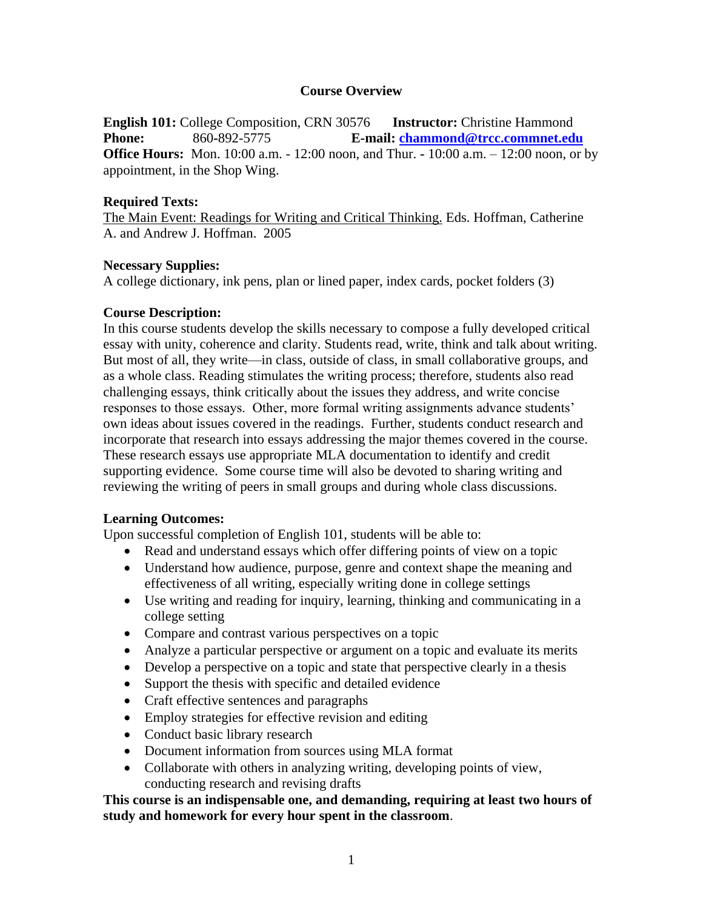# **Course Overview**

**English 101:** College Composition, CRN 30576 **Instructor:** Christine Hammond **Phone:** 860**-**892-5775 **E-mail: [chammond@trcc.commnet.edu](mailto:chammond@trcc.commnet.edu) Office Hours:** Mon. 10:00 a.m. - 12:00 noon, and Thur. **-** 10:00 a.m. – 12:00 noon, or by appointment, in the Shop Wing.

## **Required Texts:**

The Main Event: Readings for Writing and Critical Thinking. Eds. Hoffman, Catherine A. and Andrew J. Hoffman. 2005

# **Necessary Supplies:**

A college dictionary, ink pens, plan or lined paper, index cards, pocket folders (3)

# **Course Description:**

In this course students develop the skills necessary to compose a fully developed critical essay with unity, coherence and clarity. Students read, write, think and talk about writing. But most of all, they write—in class, outside of class, in small collaborative groups, and as a whole class. Reading stimulates the writing process; therefore, students also read challenging essays, think critically about the issues they address, and write concise responses to those essays. Other, more formal writing assignments advance students' own ideas about issues covered in the readings. Further, students conduct research and incorporate that research into essays addressing the major themes covered in the course. These research essays use appropriate MLA documentation to identify and credit supporting evidence. Some course time will also be devoted to sharing writing and reviewing the writing of peers in small groups and during whole class discussions.

## **Learning Outcomes:**

Upon successful completion of English 101, students will be able to:

- Read and understand essays which offer differing points of view on a topic
- Understand how audience, purpose, genre and context shape the meaning and effectiveness of all writing, especially writing done in college settings
- Use writing and reading for inquiry, learning, thinking and communicating in a college setting
- Compare and contrast various perspectives on a topic
- Analyze a particular perspective or argument on a topic and evaluate its merits
- Develop a perspective on a topic and state that perspective clearly in a thesis
- Support the thesis with specific and detailed evidence
- Craft effective sentences and paragraphs
- Employ strategies for effective revision and editing
- Conduct basic library research
- Document information from sources using MLA format
- Collaborate with others in analyzing writing, developing points of view, conducting research and revising drafts

**This course is an indispensable one, and demanding, requiring at least two hours of study and homework for every hour spent in the classroom**.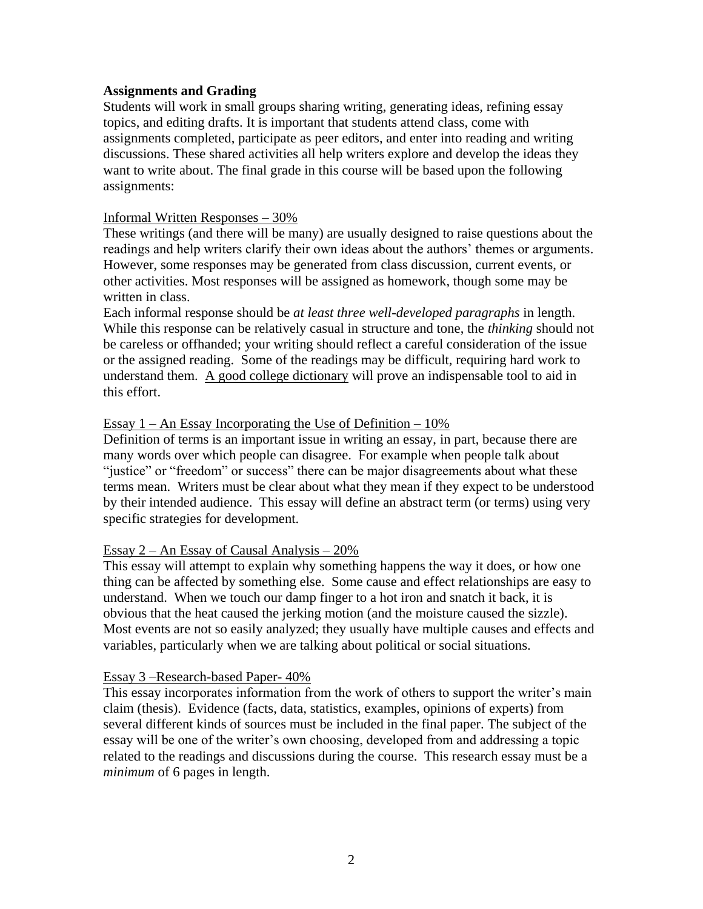## **Assignments and Grading**

Students will work in small groups sharing writing, generating ideas, refining essay topics, and editing drafts. It is important that students attend class, come with assignments completed, participate as peer editors, and enter into reading and writing discussions. These shared activities all help writers explore and develop the ideas they want to write about. The final grade in this course will be based upon the following assignments:

## Informal Written Responses – 30%

These writings (and there will be many) are usually designed to raise questions about the readings and help writers clarify their own ideas about the authors' themes or arguments. However, some responses may be generated from class discussion, current events, or other activities. Most responses will be assigned as homework, though some may be written in class.

Each informal response should be *at least three well-developed paragraphs* in length. While this response can be relatively casual in structure and tone, the *thinking* should not be careless or offhanded; your writing should reflect a careful consideration of the issue or the assigned reading. Some of the readings may be difficult, requiring hard work to understand them. A good college dictionary will prove an indispensable tool to aid in this effort.

## Essay  $1 - An Essay Incorporating the Use of Definition - 10%$

Definition of terms is an important issue in writing an essay, in part, because there are many words over which people can disagree. For example when people talk about "justice" or "freedom" or success" there can be major disagreements about what these terms mean. Writers must be clear about what they mean if they expect to be understood by their intended audience. This essay will define an abstract term (or terms) using very specific strategies for development.

## Essay  $2 - An Essav$  of Causal Analysis  $-20\%$

This essay will attempt to explain why something happens the way it does, or how one thing can be affected by something else. Some cause and effect relationships are easy to understand. When we touch our damp finger to a hot iron and snatch it back, it is obvious that the heat caused the jerking motion (and the moisture caused the sizzle). Most events are not so easily analyzed; they usually have multiple causes and effects and variables, particularly when we are talking about political or social situations.

#### Essay 3 –Research-based Paper- 40%

This essay incorporates information from the work of others to support the writer's main claim (thesis). Evidence (facts, data, statistics, examples, opinions of experts) from several different kinds of sources must be included in the final paper. The subject of the essay will be one of the writer's own choosing, developed from and addressing a topic related to the readings and discussions during the course. This research essay must be a *minimum* of 6 pages in length.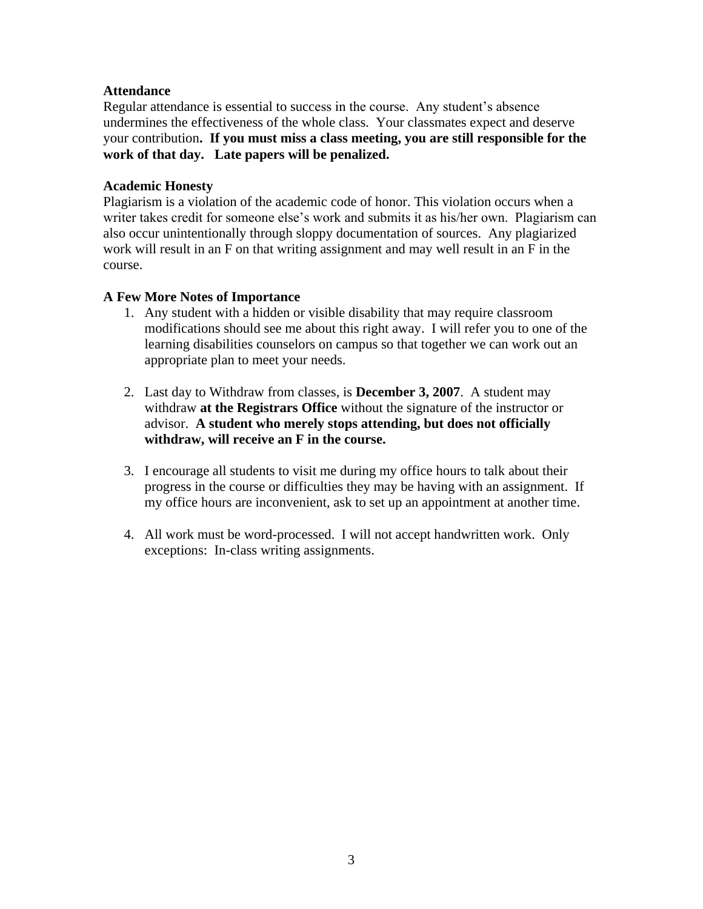# **Attendance**

Regular attendance is essential to success in the course. Any student's absence undermines the effectiveness of the whole class. Your classmates expect and deserve your contribution**. If you must miss a class meeting, you are still responsible for the work of that day. Late papers will be penalized.**

# **Academic Honesty**

Plagiarism is a violation of the academic code of honor. This violation occurs when a writer takes credit for someone else's work and submits it as his/her own. Plagiarism can also occur unintentionally through sloppy documentation of sources. Any plagiarized work will result in an F on that writing assignment and may well result in an F in the course.

# **A Few More Notes of Importance**

- 1. Any student with a hidden or visible disability that may require classroom modifications should see me about this right away. I will refer you to one of the learning disabilities counselors on campus so that together we can work out an appropriate plan to meet your needs.
- 2. Last day to Withdraw from classes, is **December 3, 2007**. A student may withdraw **at the Registrars Office** without the signature of the instructor or advisor. **A student who merely stops attending, but does not officially withdraw, will receive an F in the course.**
- 3. I encourage all students to visit me during my office hours to talk about their progress in the course or difficulties they may be having with an assignment. If my office hours are inconvenient, ask to set up an appointment at another time.
- 4. All work must be word-processed. I will not accept handwritten work. Only exceptions: In-class writing assignments.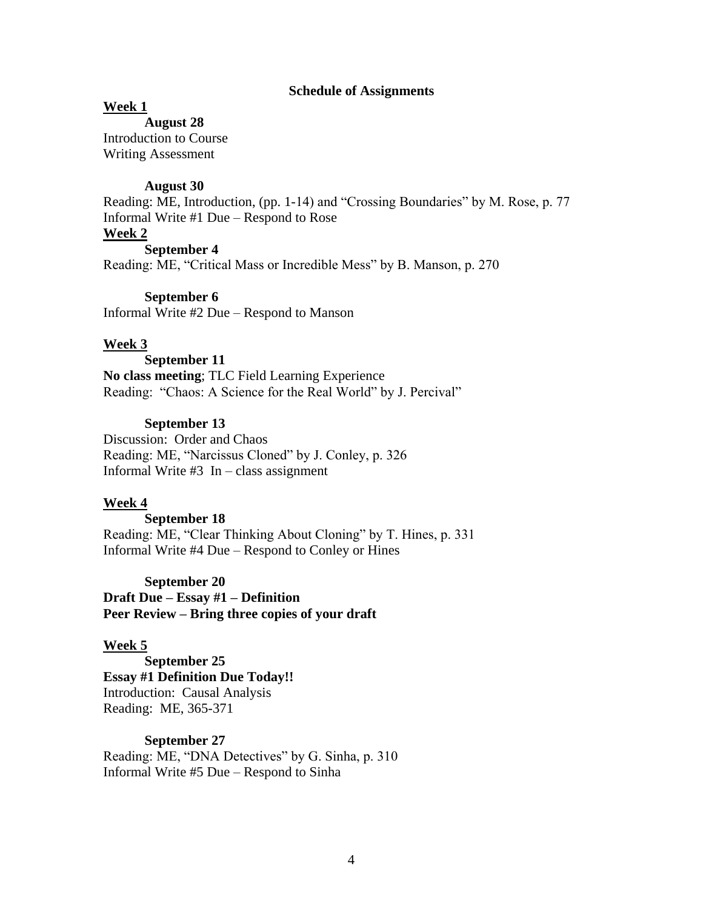#### **Schedule of Assignments**

### **Week 1**

**August 28**

Introduction to Course Writing Assessment

#### **August 30**

Reading: ME, Introduction, (pp. 1-14) and "Crossing Boundaries" by M. Rose, p. 77 Informal Write #1 Due – Respond to Rose

# **Week 2**

**September 4** Reading: ME, "Critical Mass or Incredible Mess" by B. Manson, p. 270

### **September 6**

Informal Write #2 Due – Respond to Manson

## **Week 3**

**September 11 No class meeting**; TLC Field Learning Experience Reading: "Chaos: A Science for the Real World" by J. Percival"

## **September 13**

Discussion: Order and Chaos Reading: ME, "Narcissus Cloned" by J. Conley, p. 326 Informal Write  $#3$  In – class assignment

#### **Week 4**

**September 18** Reading: ME, "Clear Thinking About Cloning" by T. Hines, p. 331 Informal Write #4 Due – Respond to Conley or Hines

**September 20**

**Draft Due – Essay #1 – Definition Peer Review – Bring three copies of your draft**

#### **Week 5**

**September 25 Essay #1 Definition Due Today!!** Introduction: Causal Analysis Reading: ME, 365-371

## **September 27**

Reading: ME, "DNA Detectives" by G. Sinha, p. 310 Informal Write #5 Due – Respond to Sinha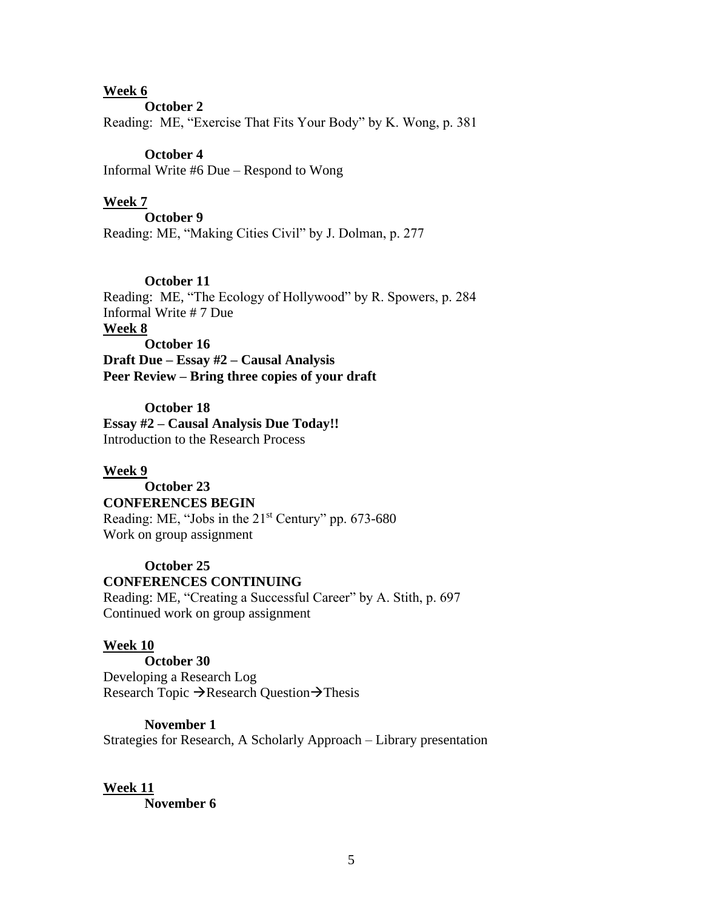## **Week 6**

**October 2**

Reading: ME, "Exercise That Fits Your Body" by K. Wong, p. 381

## **October 4**

Informal Write #6 Due – Respond to Wong

## **Week 7**

**October 9** Reading: ME, "Making Cities Civil" by J. Dolman, p. 277

**October 11** Reading:ME, "The Ecology of Hollywood" by R. Spowers, p. 284 Informal Write # 7 Due **Week 8 October 16 Draft Due – Essay #2 – Causal Analysis Peer Review – Bring three copies of your draft**

**October 18 Essay #2 – Causal Analysis Due Today!!** Introduction to the Research Process

## **Week 9**

# **October 23**

## **CONFERENCES BEGIN**

Reading: ME, "Jobs in the 21<sup>st</sup> Century" pp. 673-680 Work on group assignment

# **October 25 CONFERENCES CONTINUING**

Reading: ME, "Creating a Successful Career" by A. Stith, p. 697 Continued work on group assignment

## **Week 10**

**October 30** Developing a Research Log Research Topic  $\rightarrow$  Research Question $\rightarrow$  Thesis

#### **November 1**

Strategies for Research, A Scholarly Approach – Library presentation

#### **Week 11 November 6**